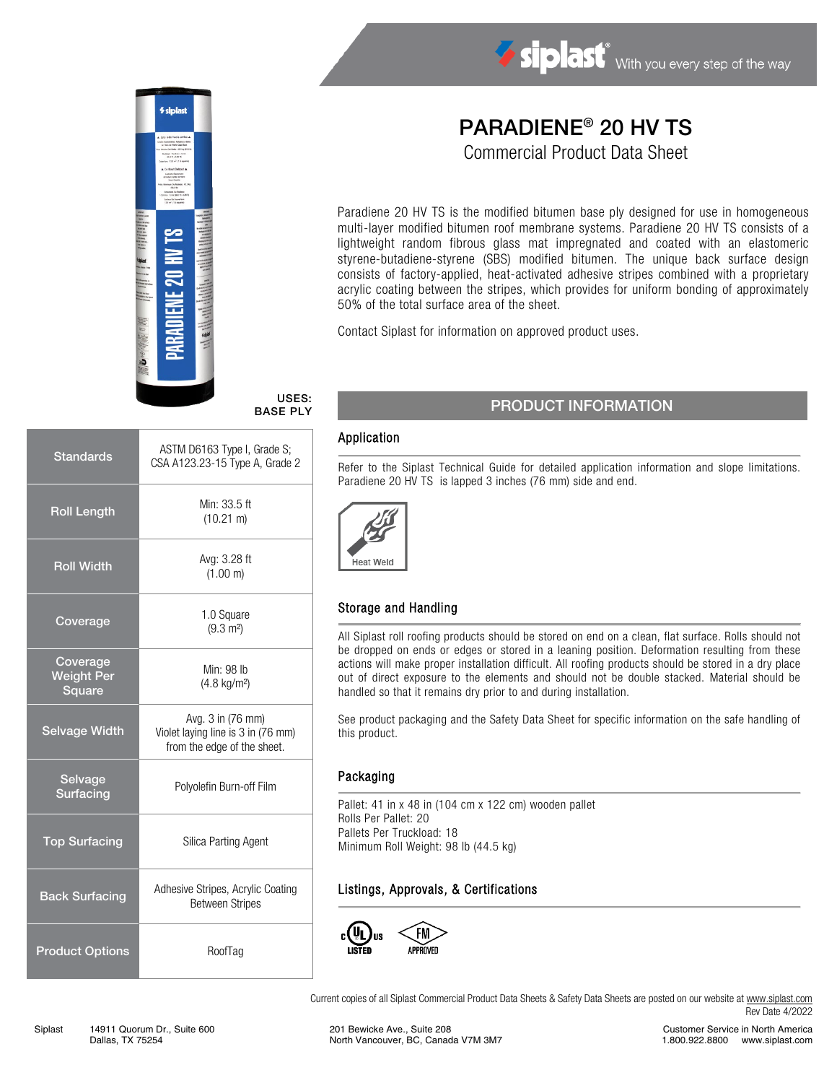

# PARADIENE® 20 HV TS

Commercial Product Data Sheet

Paradiene 20 HV TS is the modified bitumen base ply designed for use in homogeneous multi-layer modified bitumen roof membrane systems. Paradiene 20 HV TS consists of a lightweight random fibrous glass mat impregnated and coated with an elastomeric styrene-butadiene-styrene (SBS) modified bitumen. The unique back surface design consists of factory-applied, heat-activated adhesive stripes combined with a proprietary acrylic coating between the stripes, which provides for uniform bonding of approximately 50% of the total surface area of the sheet.

Contact Siplast for information on approved product uses.

USES: BASE PLY

| <b>Standards</b>                        | ASTM D6163 Type I, Grade S;<br>CSA A123.23-15 Type A, Grade 2                          |  |
|-----------------------------------------|----------------------------------------------------------------------------------------|--|
| <b>Roll Length</b>                      | Min: 33.5 ft<br>$(10.21 \text{ m})$                                                    |  |
| <b>Roll Width</b>                       | Avg: 3.28 ft<br>(1.00 m)                                                               |  |
| Coverage                                | 1.0 Square<br>$(9.3 \text{ m}^2)$                                                      |  |
| Coverage<br><b>Weight Per</b><br>Square | Min: 98 lb<br>$(4.8 \text{ kg/m}^2)$                                                   |  |
| <b>Selvage Width</b>                    | Avg. 3 in (76 mm)<br>Violet laying line is 3 in (76 mm)<br>from the edge of the sheet. |  |
| Selvage<br><b>Surfacing</b>             | Polyolefin Burn-off Film                                                               |  |
| <b>Top Surfacing</b>                    | Silica Parting Agent                                                                   |  |
| <b>Back Surfacing</b>                   | Adhesive Stripes, Acrylic Coating<br><b>Between Stripes</b>                            |  |
| <b>Product Options</b>                  | RoofTag                                                                                |  |

## PRODUCT INFORMATION

#### Application

Refer to the Siplast Technical Guide for detailed application information and slope limitations. Paradiene 20 HV TS is lapped 3 inches (76 mm) side and end.



### Storage and Handling

All Siplast roll roofing products should be stored on end on a clean, flat surface. Rolls should not be dropped on ends or edges or stored in a leaning position. Deformation resulting from these actions will make proper installation difficult. All roofing products should be stored in a dry place out of direct exposure to the elements and should not be double stacked. Material should be handled so that it remains dry prior to and during installation.

See product packaging and the Safety Data Sheet for specific information on the safe handling of this product.

#### Packaging

Pallet: 41 in x 48 in (104 cm x 122 cm) wooden pallet Rolls Per Pallet: 20 Pallets Per Truckload: 18 Minimum Roll Weight: 98 lb (44.5 kg)

#### Listings, Approvals, & Certifications



Current copies of all Siplast Commercial Product Data Sheets & Safety Data Sheets are posted on our website a[t www.siplast.com](http://www.siplast.com/) Rev Date 4/2022